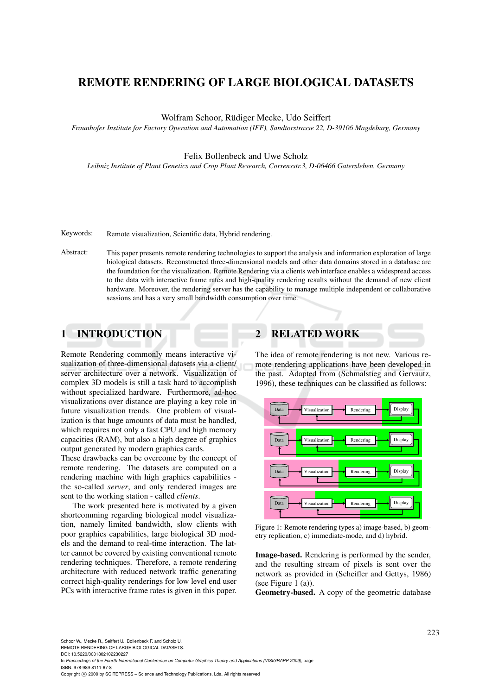# REMOTE RENDERING OF LARGE BIOLOGICAL DATASETS

Wolfram Schoor, Rüdiger Mecke, Udo Seiffert

*Fraunhofer Institute for Factory Operation and Automation (IFF), Sandtorstrasse 22, D-39106 Magdeburg, Germany*

### Felix Bollenbeck and Uwe Scholz

*Leibniz Institute of Plant Genetics and Crop Plant Research, Corrensstr.3, D-06466 Gatersleben, Germany*

Keywords: Remote visualization, Scientific data, Hybrid rendering.

Abstract: This paper presents remote rendering technologies to support the analysis and information exploration of large biological datasets. Reconstructed three-dimensional models and other data domains stored in a database are the foundation for the visualization. Remote Rendering via a clients web interface enables a widespread access to the data with interactive frame rates and high-quality rendering results without the demand of new client hardware. Moreover, the rendering server has the capability to manage multiple independent or collaborative sessions and has a very small bandwidth consumption over time.

## 1 INTRODUCTION

Remote Rendering commonly means interactive visualization of three-dimensional datasets via a client/ server architecture over a network. Visualization of complex 3D models is still a task hard to accomplish without specialized hardware. Furthermore, ad-hoc visualizations over distance are playing a key role in future visualization trends. One problem of visualization is that huge amounts of data must be handled, which requires not only a fast CPU and high memory capacities (RAM), but also a high degree of graphics output generated by modern graphics cards.

These drawbacks can be overcome by the concept of remote rendering. The datasets are computed on a rendering machine with high graphics capabilities the so-called *server*, and only rendered images are sent to the working station - called *clients*.

The work presented here is motivated by a given shortcomming regarding biological model visualization, namely limited bandwidth, slow clients with poor graphics capabilities, large biological 3D models and the demand to real-time interaction. The latter cannot be covered by existing conventional remote rendering techniques. Therefore, a remote rendering architecture with reduced network traffic generating correct high-quality renderings for low level end user PCs with interactive frame rates is given in this paper.

## **RELATED WORK**

The idea of remote rendering is not new. Various remote rendering applications have been developed in the past. Adapted from (Schmalstieg and Gervautz, 1996), these techniques can be classified as follows:



Figure 1: Remote rendering types a) image-based, b) geometry replication, c) immediate-mode, and d) hybrid.

Image-based. Rendering is performed by the sender, and the resulting stream of pixels is sent over the network as provided in (Scheifler and Gettys, 1986) (see Figure 1  $(a)$ ).

Geometry-based. A copy of the geometric database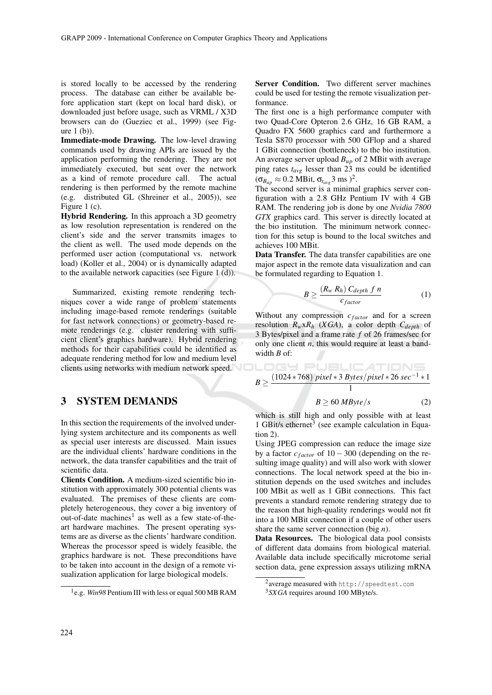is stored locally to be accessed by the rendering process. The database can either be available before application start (kept on local hard disk), or downloaded just before usage, such as VRML / X3D browsers can do (Gueziec et al., 1999) (see Figure  $1(b)$ ).

Immediate-mode Drawing. The low-level drawing commands used by drawing APIs are issued by the application performing the rendering. They are not immediately executed, but sent over the network as a kind of remote procedure call. The actual rendering is then performed by the remote machine (e.g. distributed GL (Shreiner et al., 2005)), see Figure 1 $(c)$ .

Hybrid Rendering. In this approach a 3D geometry as low resolution representation is rendered on the client's side and the server transmits images to the client as well. The used mode depends on the performed user action (computational vs. network load) (Koller et al., 2004) or is dynamically adapted to the available network capacities (see Figure 1  $(d)$ ).

Summarized, existing remote rendering techniques cover a wide range of problem statements including image-based remote renderings (suitable for fast network connections) or geometry-based remote renderings (e.g. cluster rendering with sufficient client's graphics hardware). Hybrid rendering methods for their capabilities could be identified as adequate rendering method for low and medium level clients using networks with medium network speed.

#### **SYSTEM DEMANDS** 3

In this section the requirements of the involved underlying system architecture and its components as well as special user interests are discussed. Main issues are the individual clients' hardware conditions in the network, the data transfer capabilities and the trait of scientific data.

Clients Condition. A medium-sized scientific bio institution with approximately 300 potential clients was evaluated. The premises of these clients are completely heterogeneous, they cover a big inventory of out-of-date machines<sup>1</sup> as well as a few state-of-theart hardware machines. The present operating systems are as diverse as the clients' hardware condition. Whereas the processor speed is widely feasible, the graphics hardware is not. These preconditions have to be taken into account in the design of a remote visualization application for large biological models.

Server Condition. Two different server machines could be used for testing the remote visualization performance.

The first one is a high performance computer with two Quad-Core Opteron 2.6 GHz, 16 GB RAM, a Quadro FX 5600 graphics card and furthermore a Tesla S870 processor with 500 GFlop and a shared 1 GBit connection (bottleneck) to the bio institution. An average server upload  $B_{up}$  of 2 MBit with average ping rates  $t_{avg}$  lesser than 23 ms could be identified  $(\sigma_{B_{up}} \approx 0.2 \text{ MBit}, \sigma_{t_{avg}} 3 \text{ ms})^2$ .

The second server is a minimal graphics server configuration with a 2.8 GHz Pentium IV with 4 GB RAM. The rendering job is done by one *Nvidia* 7800 GTX graphics card. This server is directly located at the bio institution. The minimum network connection for this setup is bound to the local switches and achieves 100 MBit.

Data Transfer. The data transfer capabilities are one major aspect in the remote data visualization and can be formulated regarding to Equation 1.

$$
B \geq \frac{(R_w R_h) C_{depth} f n}{c_{factor}} \tag{1}
$$

Without any compression  $c_{factor}$  and for a screen resolution  $R_w x R_h$  (XGA), a color depth  $C_{depth}$  of 3 Bytes/pixel and a frame rate  $f$  of 26 frames/sec for only one client  $n$ , this would require at least a bandwidth  $B$  of:

$$
B \ge \frac{(1024*768) pixel*3\,Bytes/pixel*26\,sec^{-1}*1}{1}
$$

$$
B \ge 60 \, MB \, \text{y} \, \text{t} \, e/s \tag{2}
$$

which is still high and only possible with at least 1 GBit/s ethernet<sup>3</sup> (see example calculation in Equation  $2$ ).

Using JPEG compression can reduce the image size by a factor  $c_{factor}$  of  $10-300$  (depending on the resulting image quality) and will also work with slower connections. The local network speed at the bio institution depends on the used switches and includes 100 MBit as well as 1 GBit connections. This fact prevents a standard remote rendering strategy due to the reason that high-quality renderings would not fit into a 100 MBit connection if a couple of other users share the same server connection (big  $n$ ).

Data Resources. The biological data pool consists of different data domains from biological material. Available data include specifically microtome serial section data, gene expression assays utilizing mRNA

 $^{1}$ e.g. *Win98* Pentium III with less or equal 500 MB RAM

 $2$  average measured with http://speedtest.com  $3$  SX GA requires around 100 MByte/s.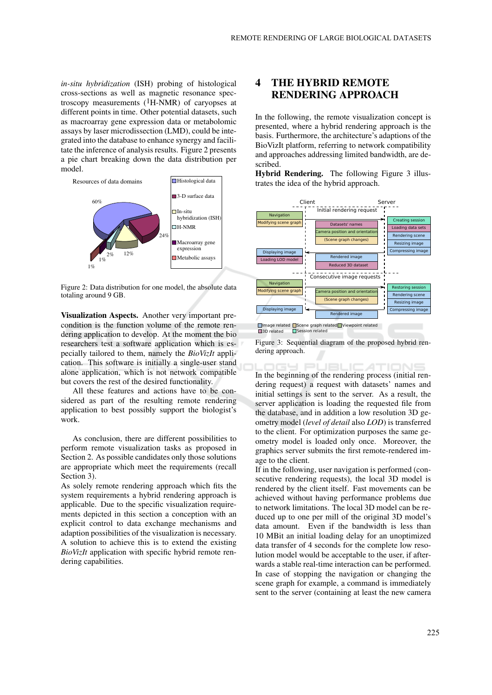in-situ hybridization (ISH) probing of histological cross-sections as well as magnetic resonance spectroscopy measurements  $(1H-NMR)$  of caryopses at different points in time. Other potential datasets, such as macroarray gene expression data or metabolomic assays by laser microdissection (LMD), could be integrated into the database to enhance synergy and facilitate the inference of analysis results. Figure 2 presents a pie chart breaking down the data distribution per model.



Figure 2: Data distribution for one model, the absolute data totaling around 9 GB.

Visualization Aspects. Another very important precondition is the function volume of the remote rendering application to develop. At the moment the bio researchers test a software application which is especially tailored to them, namely the *BioVizIt* application. This software is initially a single-user stand alone application, which is not network compatible but covers the rest of the desired functionality.

All these features and actions have to be considered as part of the resulting remote rendering application to best possibly support the biologist's work.

As conclusion, there are different possibilities to perform remote visualization tasks as proposed in Section 2. As possible candidates only those solutions are appropriate which meet the requirements (recall Section 3).

As solely remote rendering approach which fits the system requirements a hybrid rendering approach is applicable. Due to the specific visualization requirements depicted in this section a conception with an explicit control to data exchange mechanisms and adaption possibilities of the visualization is necessary. A solution to achieve this is to extend the existing BioVizIt application with specific hybrid remote rendering capabilities.

### 4 **THE HYBRID REMOTE RENDERING APPROACH**

In the following, the remote visualization concept is presented, where a hybrid rendering approach is the basis. Furthermore, the architecture's adaptions of the BioVizIt platform, referring to network compatibility and approaches addressing limited bandwidth, are described.

Hybrid Rendering. The following Figure 3 illustrates the idea of the hybrid approach.



□ Session related

 $\Box$ 

Figure 3: Sequential diagram of the proposed hybrid rendering approach.

**JEL** 

 $LATIC$ In the beginning of the rendering process (initial rendering request) a request with datasets' names and initial settings is sent to the server. As a result, the server application is loading the requested file from the database, and in addition a low resolution 3D geometry model (level of detail also LOD) is transferred to the client. For optimization purposes the same geometry model is loaded only once. Moreover, the graphics server submits the first remote-rendered image to the client.

If in the following, user navigation is performed (consecutive rendering requests), the local 3D model is rendered by the client itself. Fast movements can be achieved without having performance problems due to network limitations. The local 3D model can be reduced up to one per mill of the original 3D model's data amount. Even if the bandwidth is less than 10 MBit an initial loading delay for an unoptimized data transfer of 4 seconds for the complete low resolution model would be acceptable to the user, if afterwards a stable real-time interaction can be performed. In case of stopping the navigation or changing the scene graph for example, a command is immediately sent to the server (containing at least the new camera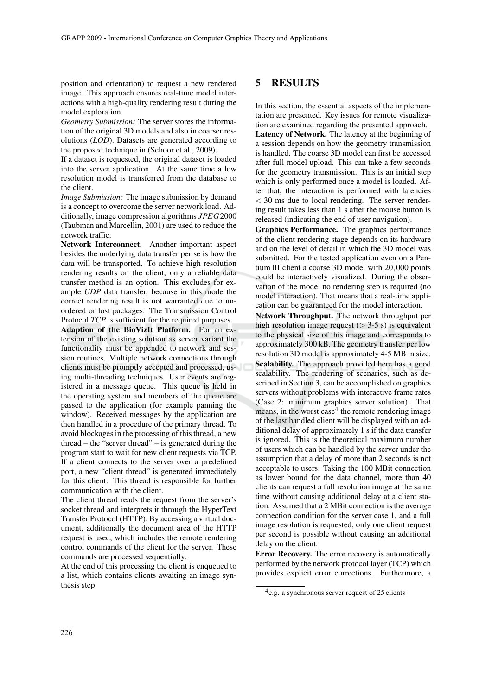position and orientation) to request a new rendered image. This approach ensures real-time model interactions with a high-quality rendering result during the model exploration.

Geometry Submission: The server stores the information of the original 3D models and also in coarser resolutions (*LOD*). Datasets are generated according to the proposed technique in (Schoor et al., 2009).

If a dataset is requested, the original dataset is loaded into the server application. At the same time a low resolution model is transferred from the database to the client

*Image Submission:* The image submission by demand is a concept to overcome the server network load. Additionally, image compression algorithms JPEG2000 (Taubman and Marcellin, 2001) are used to reduce the network traffic.

Network Interconnect. Another important aspect besides the underlying data transfer per se is how the data will be transported. To achieve high resolution rendering results on the client, only a reliable data transfer method is an option. This excludes for example UDP data transfer, because in this mode the correct rendering result is not warranted due to unordered or lost packages. The Transmission Control Protocol TCP is sufficient for the required purposes.

Adaption of the BioVizIt Platform. For an extension of the existing solution as server variant the functionality must be appended to network and session routines. Multiple network connections through clients must be promptly accepted and processed, using multi-threading techniques. User events are registered in a message queue. This queue is held in the operating system and members of the queue are passed to the application (for example panning the window). Received messages by the application are then handled in a procedure of the primary thread. To avoid blockages in the processing of this thread, a new  $thread - the "server thread" - is generated during the$ program start to wait for new client requests via TCP. If a client connects to the server over a predefined port, a new "client thread" is generated immediately for this client. This thread is responsible for further communication with the client.

The client thread reads the request from the server's socket thread and interprets it through the HyperText Transfer Protocol (HTTP). By accessing a virtual document, additionally the document area of the HTTP request is used, which includes the remote rendering control commands of the client for the server. These commands are processed sequentially.

At the end of this processing the client is enqueued to a list, which contains clients awaiting an image synthesis step.

#### 5 **RESULTS**

In this section, the essential aspects of the implementation are presented. Key issues for remote visualization are examined regarding the presented approach. Latency of Network. The latency at the beginning of a session depends on how the geometry transmission is handled. The coarse 3D model can first be accessed after full model upload. This can take a few seconds for the geometry transmission. This is an initial step which is only performed once a model is loaded. After that, the interaction is performed with latencies  $<$  30 ms due to local rendering. The server rendering result takes less than 1 s after the mouse button is released (indicating the end of user navigation).

Graphics Performance. The graphics performance of the client rendering stage depends on its hardware and on the level of detail in which the 3D model was submitted. For the tested application even on a Pentium III client a coarse 3D model with 20,000 points could be interactively visualized. During the observation of the model no rendering step is required (no model interaction). That means that a real-time application can be guaranteed for the model interaction.

Network Throughput. The network throughput per high resolution image request ( $>$  3-5 s) is equivalent to the physical size of this image and corresponds to approximately 300 kB. The geometry transfer per low resolution 3D model is approximately 4-5 MB in size. Scalability. The approach provided here has a good scalability. The rendering of scenarios, such as described in Section 3, can be accomplished on graphics servers without problems with interactive frame rates (Case 2: minimum graphics server solution). That means, in the worst case<sup>4</sup> the remote rendering image of the last handled client will be displayed with an additional delay of approximately 1 s if the data transfer is ignored. This is the theoretical maximum number of users which can be handled by the server under the assumption that a delay of more than 2 seconds is not acceptable to users. Taking the 100 MBit connection as lower bound for the data channel, more than 40 clients can request a full resolution image at the same time without causing additional delay at a client station. Assumed that a 2 MBit connection is the average connection condition for the server case 1, and a full image resolution is requested, only one client request per second is possible without causing an additional delay on the client.

Error Recovery. The error recovery is automatically performed by the network protocol layer (TCP) which provides explicit error corrections. Furthermore, a

 $^{4}$ e.g. a synchronous server request of 25 clients